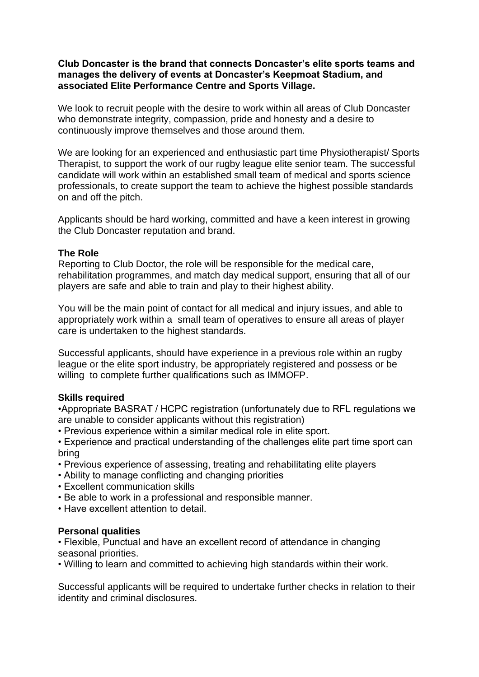## **Club Doncaster is the brand that connects Doncaster's elite sports teams and manages the delivery of events at Doncaster's Keepmoat Stadium, and associated Elite Performance Centre and Sports Village.**

We look to recruit people with the desire to work within all areas of Club Doncaster who demonstrate integrity, compassion, pride and honesty and a desire to continuously improve themselves and those around them.

We are looking for an experienced and enthusiastic part time Physiotherapist/ Sports Therapist, to support the work of our rugby league elite senior team. The successful candidate will work within an established small team of medical and sports science professionals, to create support the team to achieve the highest possible standards on and off the pitch.

Applicants should be hard working, committed and have a keen interest in growing the Club Doncaster reputation and brand.

## **The Role**

Reporting to Club Doctor, the role will be responsible for the medical care, rehabilitation programmes, and match day medical support, ensuring that all of our players are safe and able to train and play to their highest ability.

You will be the main point of contact for all medical and injury issues, and able to appropriately work within a small team of operatives to ensure all areas of player care is undertaken to the highest standards.

Successful applicants, should have experience in a previous role within an rugby league or the elite sport industry, be appropriately registered and possess or be willing to complete further qualifications such as IMMOFP.

## **Skills required**

•Appropriate BASRAT / HCPC registration (unfortunately due to RFL regulations we are unable to consider applicants without this registration)

• Previous experience within a similar medical role in elite sport.

• Experience and practical understanding of the challenges elite part time sport can bring

- Previous experience of assessing, treating and rehabilitating elite players
- Ability to manage conflicting and changing priorities
- Excellent communication skills
- Be able to work in a professional and responsible manner.
- Have excellent attention to detail.

## **Personal qualities**

• Flexible, Punctual and have an excellent record of attendance in changing seasonal priorities.

• Willing to learn and committed to achieving high standards within their work.

Successful applicants will be required to undertake further checks in relation to their identity and criminal disclosures.